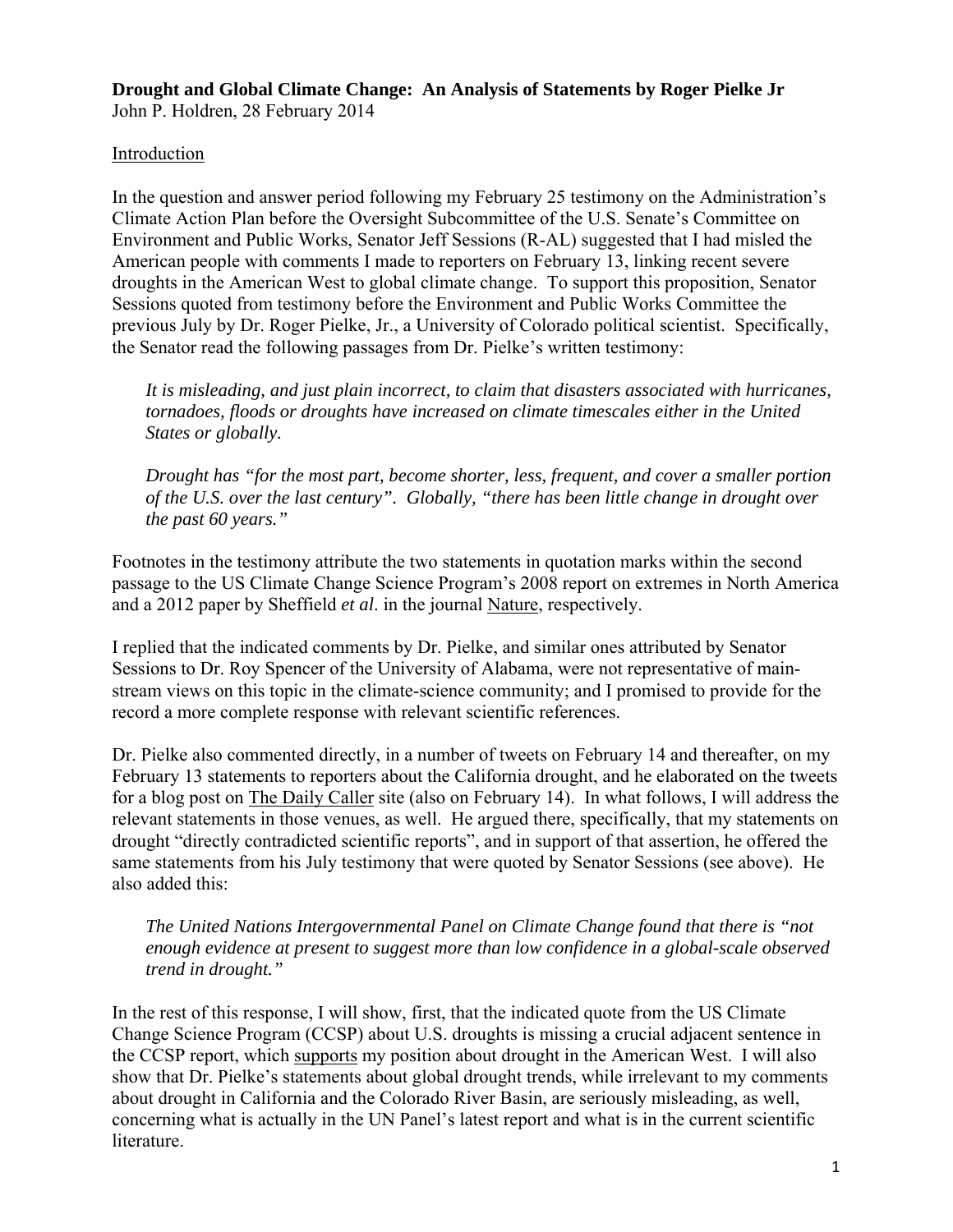**Drought and Global Climate Change: An Analysis of Statements by Roger Pielke Jr**  John P. Holdren, 28 February 2014

## Introduction

In the question and answer period following my February 25 testimony on the Administration's Climate Action Plan before the Oversight Subcommittee of the U.S. Senate's Committee on Environment and Public Works, Senator Jeff Sessions (R-AL) suggested that I had misled the American people with comments I made to reporters on February 13, linking recent severe droughts in the American West to global climate change. To support this proposition, Senator Sessions quoted from testimony before the Environment and Public Works Committee the previous July by Dr. Roger Pielke, Jr., a University of Colorado political scientist. Specifically, the Senator read the following passages from Dr. Pielke's written testimony:

*It is misleading, and just plain incorrect, to claim that disasters associated with hurricanes, tornadoes, floods or droughts have increased on climate timescales either in the United States or globally.* 

*Drought has "for the most part, become shorter, less, frequent, and cover a smaller portion of the U.S. over the last century". Globally, "there has been little change in drought over the past 60 years."* 

Footnotes in the testimony attribute the two statements in quotation marks within the second passage to the US Climate Change Science Program's 2008 report on extremes in North America and a 2012 paper by Sheffield *et al*. in the journal Nature, respectively.

I replied that the indicated comments by Dr. Pielke, and similar ones attributed by Senator Sessions to Dr. Roy Spencer of the University of Alabama, were not representative of mainstream views on this topic in the climate-science community; and I promised to provide for the record a more complete response with relevant scientific references.

Dr. Pielke also commented directly, in a number of tweets on February 14 and thereafter, on my February 13 statements to reporters about the California drought, and he elaborated on the tweets for a blog post on The Daily Caller site (also on February 14). In what follows, I will address the relevant statements in those venues, as well. He argued there, specifically, that my statements on drought "directly contradicted scientific reports", and in support of that assertion, he offered the same statements from his July testimony that were quoted by Senator Sessions (see above). He also added this:

*The United Nations Intergovernmental Panel on Climate Change found that there is "not enough evidence at present to suggest more than low confidence in a global-scale observed trend in drought."* 

In the rest of this response, I will show, first, that the indicated quote from the US Climate Change Science Program (CCSP) about U.S. droughts is missing a crucial adjacent sentence in the CCSP report, which supports my position about drought in the American West. I will also show that Dr. Pielke's statements about global drought trends, while irrelevant to my comments about drought in California and the Colorado River Basin, are seriously misleading, as well, concerning what is actually in the UN Panel's latest report and what is in the current scientific literature.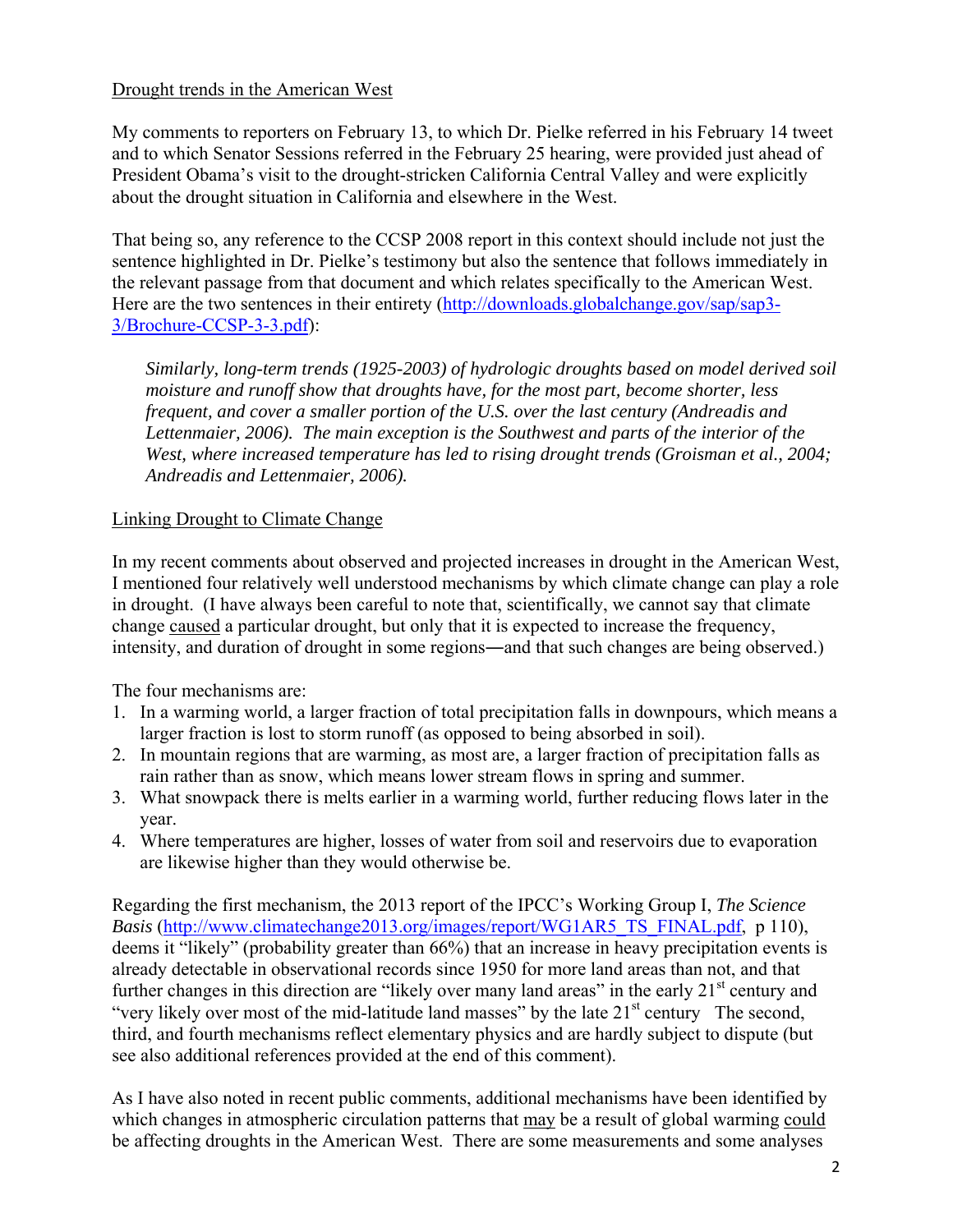## Drought trends in the American West

My comments to reporters on February 13, to which Dr. Pielke referred in his February 14 tweet and to which Senator Sessions referred in the February 25 hearing, were provided just ahead of President Obama's visit to the drought-stricken California Central Valley and were explicitly about the drought situation in California and elsewhere in the West.

That being so, any reference to the CCSP 2008 report in this context should include not just the sentence highlighted in Dr. Pielke's testimony but also the sentence that follows immediately in the relevant passage from that document and which relates specifically to the American West. Here are the two sentences in their entirety (http://downloads.globalchange.gov/sap/sap3-3/Brochure-CCSP-3-3.pdf):

*Similarly, long-term trends (1925-2003) of hydrologic droughts based on model derived soil moisture and runoff show that droughts have, for the most part, become shorter, less frequent, and cover a smaller portion of the U.S. over the last century (Andreadis and*  Lettenmaier, 2006). The main exception is the Southwest and parts of the interior of the *West, where increased temperature has led to rising drought trends (Groisman et al., 2004; Andreadis and Lettenmaier, 2006).* 

## Linking Drought to Climate Change

In my recent comments about observed and projected increases in drought in the American West, I mentioned four relatively well understood mechanisms by which climate change can play a role in drought. (I have always been careful to note that, scientifically, we cannot say that climate change caused a particular drought, but only that it is expected to increase the frequency, intensity, and duration of drought in some regions―and that such changes are being observed.)

The four mechanisms are:

- 1. In a warming world, a larger fraction of total precipitation falls in downpours, which means a larger fraction is lost to storm runoff (as opposed to being absorbed in soil).
- 2. In mountain regions that are warming, as most are, a larger fraction of precipitation falls as rain rather than as snow, which means lower stream flows in spring and summer.
- 3. What snowpack there is melts earlier in a warming world, further reducing flows later in the year.
- 4. Where temperatures are higher, losses of water from soil and reservoirs due to evaporation are likewise higher than they would otherwise be.

Regarding the first mechanism, the 2013 report of the IPCC's Working Group I, *The Science Basis* (http://www.climatechange2013.org/images/report/WG1AR5\_TS\_FINAL.pdf, p 110), deems it "likely" (probability greater than 66%) that an increase in heavy precipitation events is already detectable in observational records since 1950 for more land areas than not, and that further changes in this direction are "likely over many land areas" in the early  $21<sup>st</sup>$  century and "very likely over most of the mid-latitude land masses" by the late  $21<sup>st</sup>$  century The second, third, and fourth mechanisms reflect elementary physics and are hardly subject to dispute (but see also additional references provided at the end of this comment).

As I have also noted in recent public comments, additional mechanisms have been identified by which changes in atmospheric circulation patterns that may be a result of global warming could be affecting droughts in the American West. There are some measurements and some analyses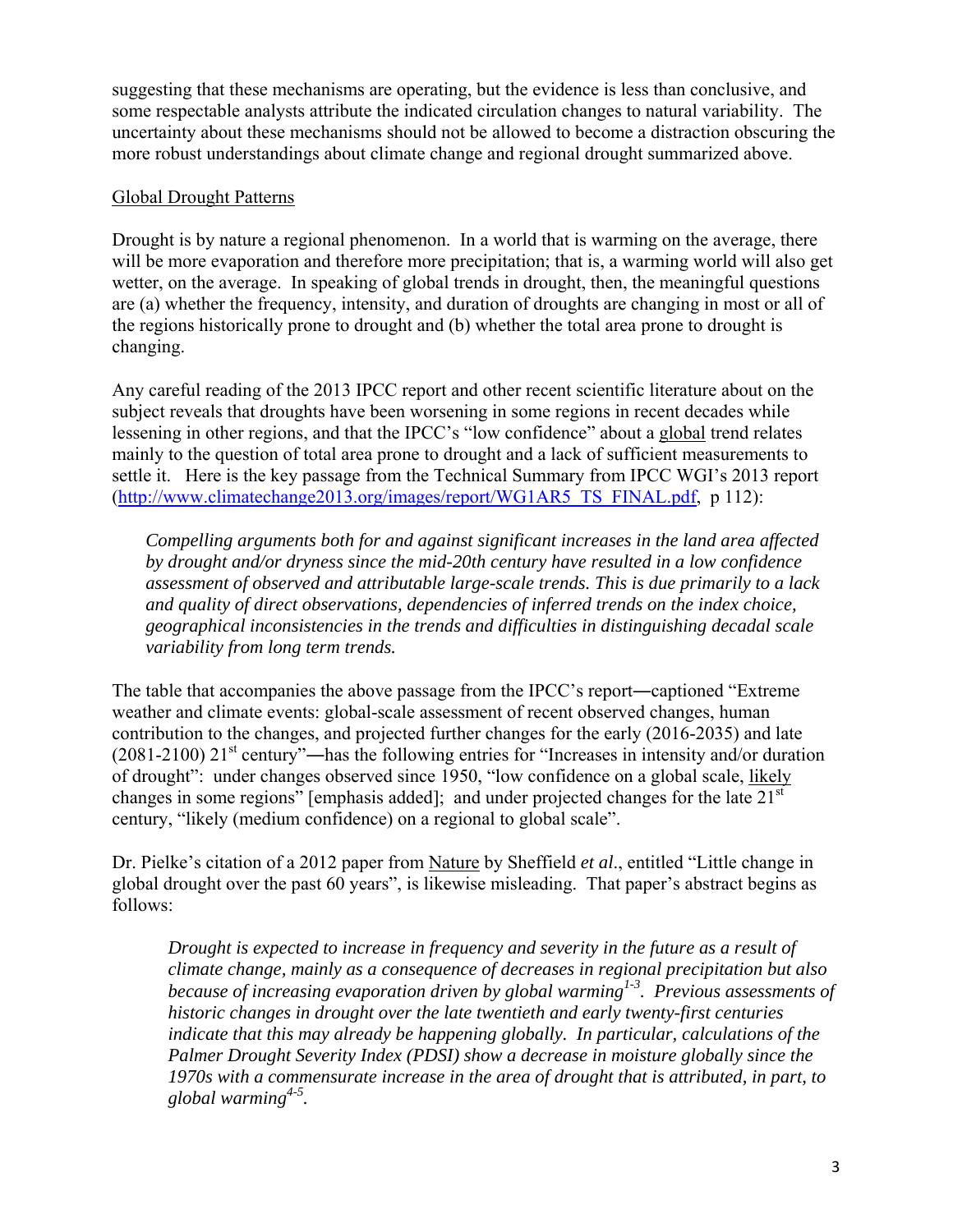suggesting that these mechanisms are operating, but the evidence is less than conclusive, and some respectable analysts attribute the indicated circulation changes to natural variability. The uncertainty about these mechanisms should not be allowed to become a distraction obscuring the more robust understandings about climate change and regional drought summarized above.

## Global Drought Patterns

Drought is by nature a regional phenomenon. In a world that is warming on the average, there will be more evaporation and therefore more precipitation; that is, a warming world will also get wetter, on the average. In speaking of global trends in drought, then, the meaningful questions are (a) whether the frequency, intensity, and duration of droughts are changing in most or all of the regions historically prone to drought and (b) whether the total area prone to drought is changing.

Any careful reading of the 2013 IPCC report and other recent scientific literature about on the subject reveals that droughts have been worsening in some regions in recent decades while lessening in other regions, and that the IPCC's "low confidence" about a global trend relates mainly to the question of total area prone to drought and a lack of sufficient measurements to settle it. Here is the key passage from the Technical Summary from IPCC WGI's 2013 report (http://www.climatechange2013.org/images/report/WG1AR5\_TS\_FINAL.pdf, p 112):

*Compelling arguments both for and against significant increases in the land area affected by drought and/or dryness since the mid-20th century have resulted in a low confidence assessment of observed and attributable large-scale trends. This is due primarily to a lack and quality of direct observations, dependencies of inferred trends on the index choice, geographical inconsistencies in the trends and difficulties in distinguishing decadal scale variability from long term trends.* 

The table that accompanies the above passage from the IPCC's report—captioned "Extreme" weather and climate events: global-scale assessment of recent observed changes, human contribution to the changes, and projected further changes for the early (2016-2035) and late  $(2081-2100)$  21<sup>st</sup> century"—has the following entries for "Increases in intensity and/or duration of drought": under changes observed since 1950, "low confidence on a global scale, likely changes in some regions" [emphasis added]; and under projected changes for the late  $21<sup>st</sup>$ century, "likely (medium confidence) on a regional to global scale".

Dr. Pielke's citation of a 2012 paper from Nature by Sheffield *et al*., entitled "Little change in global drought over the past 60 years", is likewise misleading. That paper's abstract begins as follows:

*Drought is expected to increase in frequency and severity in the future as a result of climate change, mainly as a consequence of decreases in regional precipitation but also because of increasing evaporation driven by global warming*<sup>1-3</sup>. Previous assessments of *historic changes in drought over the late twentieth and early twenty-first centuries indicate that this may already be happening globally. In particular, calculations of the Palmer Drought Severity Index (PDSI) show a decrease in moisture globally since the 1970s with a commensurate increase in the area of drought that is attributed, in part, to global warming4-5.*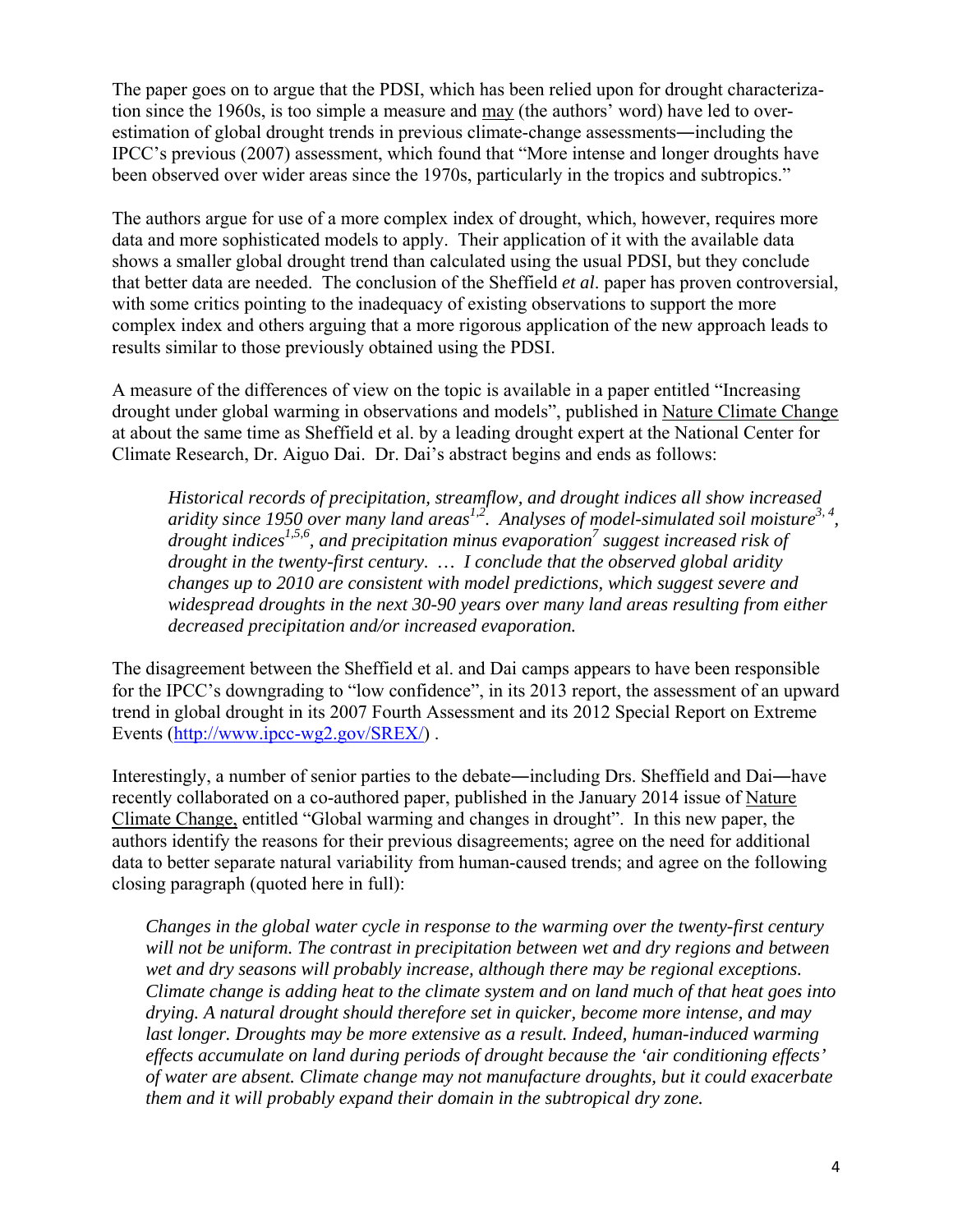The paper goes on to argue that the PDSI, which has been relied upon for drought characterization since the 1960s, is too simple a measure and may (the authors' word) have led to overestimation of global drought trends in previous climate-change assessments―including the IPCC's previous (2007) assessment, which found that "More intense and longer droughts have been observed over wider areas since the 1970s, particularly in the tropics and subtropics."

The authors argue for use of a more complex index of drought, which, however, requires more data and more sophisticated models to apply. Their application of it with the available data shows a smaller global drought trend than calculated using the usual PDSI, but they conclude that better data are needed. The conclusion of the Sheffield *et al*. paper has proven controversial, with some critics pointing to the inadequacy of existing observations to support the more complex index and others arguing that a more rigorous application of the new approach leads to results similar to those previously obtained using the PDSI.

A measure of the differences of view on the topic is available in a paper entitled "Increasing drought under global warming in observations and models", published in Nature Climate Change at about the same time as Sheffield et al. by a leading drought expert at the National Center for Climate Research, Dr. Aiguo Dai. Dr. Dai's abstract begins and ends as follows:

*Historical records of precipitation, streamflow, and drought indices all show increased aridity since 1950 over many land areas1,2. Analyses of model-simulated soil moisture3, 4, drought indices1,5,6, and precipitation minus evaporation7 suggest increased risk of drought in the twenty-first century. … I conclude that the observed global aridity changes up to 2010 are consistent with model predictions, which suggest severe and widespread droughts in the next 30-90 years over many land areas resulting from either decreased precipitation and/or increased evaporation.* 

The disagreement between the Sheffield et al. and Dai camps appears to have been responsible for the IPCC's downgrading to "low confidence", in its 2013 report, the assessment of an upward trend in global drought in its 2007 Fourth Assessment and its 2012 Special Report on Extreme Events (http://www.ipcc-wg2.gov/SREX/) .

Interestingly, a number of senior parties to the debate―including Drs. Sheffield and Dai―have recently collaborated on a co-authored paper, published in the January 2014 issue of Nature Climate Change, entitled "Global warming and changes in drought". In this new paper, the authors identify the reasons for their previous disagreements; agree on the need for additional data to better separate natural variability from human-caused trends; and agree on the following closing paragraph (quoted here in full):

*Changes in the global water cycle in response to the warming over the twenty-first century will not be uniform. The contrast in precipitation between wet and dry regions and between wet and dry seasons will probably increase, although there may be regional exceptions. Climate change is adding heat to the climate system and on land much of that heat goes into drying. A natural drought should therefore set in quicker, become more intense, and may last longer. Droughts may be more extensive as a result. Indeed, human-induced warming effects accumulate on land during periods of drought because the 'air conditioning effects' of water are absent. Climate change may not manufacture droughts, but it could exacerbate them and it will probably expand their domain in the subtropical dry zone.*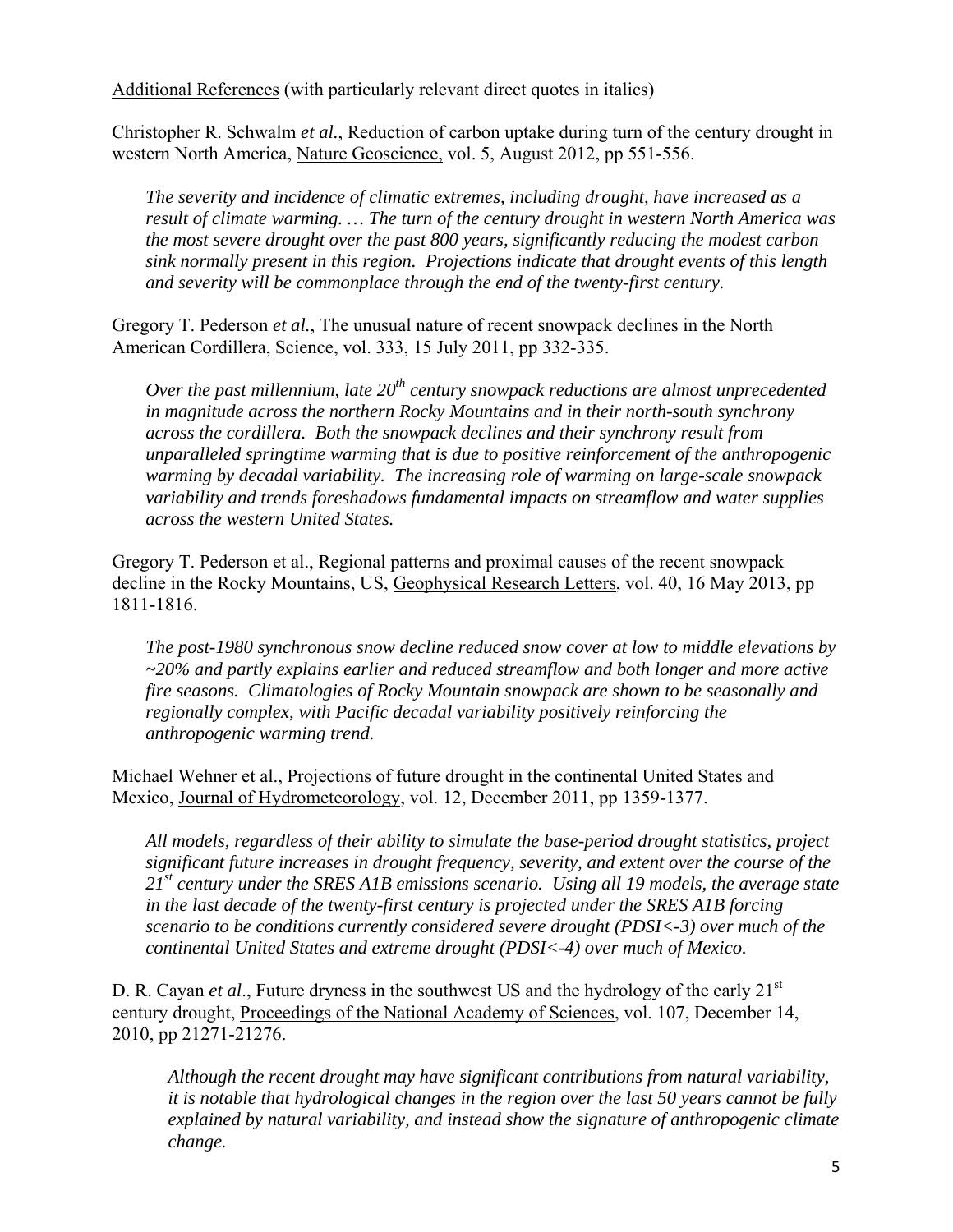Additional References (with particularly relevant direct quotes in italics)

Christopher R. Schwalm *et al.*, Reduction of carbon uptake during turn of the century drought in western North America, Nature Geoscience, vol. 5, August 2012, pp 551-556.

*The severity and incidence of climatic extremes, including drought, have increased as a result of climate warming. … The turn of the century drought in western North America was the most severe drought over the past 800 years, significantly reducing the modest carbon sink normally present in this region. Projections indicate that drought events of this length and severity will be commonplace through the end of the twenty-first century.* 

Gregory T. Pederson *et al.*, The unusual nature of recent snowpack declines in the North American Cordillera, Science, vol. 333, 15 July 2011, pp 332-335.

*Over the past millennium, late 20<sup>th</sup> century snowpack reductions are almost unprecedented in magnitude across the northern Rocky Mountains and in their north-south synchrony across the cordillera. Both the snowpack declines and their synchrony result from unparalleled springtime warming that is due to positive reinforcement of the anthropogenic warming by decadal variability. The increasing role of warming on large-scale snowpack variability and trends foreshadows fundamental impacts on streamflow and water supplies across the western United States.* 

Gregory T. Pederson et al., Regional patterns and proximal causes of the recent snowpack decline in the Rocky Mountains, US, Geophysical Research Letters, vol. 40, 16 May 2013, pp 1811-1816.

*The post-1980 synchronous snow decline reduced snow cover at low to middle elevations by ~20% and partly explains earlier and reduced streamflow and both longer and more active fire seasons. Climatologies of Rocky Mountain snowpack are shown to be seasonally and regionally complex, with Pacific decadal variability positively reinforcing the anthropogenic warming trend.* 

Michael Wehner et al., Projections of future drought in the continental United States and Mexico, Journal of Hydrometeorology, vol. 12, December 2011, pp 1359-1377.

*All models, regardless of their ability to simulate the base-period drought statistics, project significant future increases in drought frequency, severity, and extent over the course of the 21st century under the SRES A1B emissions scenario. Using all 19 models, the average state in the last decade of the twenty-first century is projected under the SRES A1B forcing scenario to be conditions currently considered severe drought (PDSI<-3) over much of the continental United States and extreme drought (PDSI<-4) over much of Mexico.* 

D. R. Cayan *et al.*, Future dryness in the southwest US and the hydrology of the early 21<sup>st</sup> century drought, Proceedings of the National Academy of Sciences, vol. 107, December 14, 2010, pp 21271-21276.

*Although the recent drought may have significant contributions from natural variability, it is notable that hydrological changes in the region over the last 50 years cannot be fully explained by natural variability, and instead show the signature of anthropogenic climate change.*